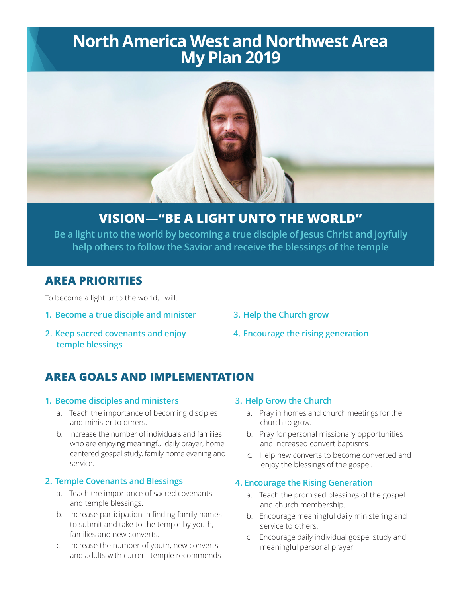# **North America West and Northwest Area My Plan 2019**



## **VISION—"BE A LIGHT UNTO THE WORLD"**

**Be a light unto the world by becoming a true disciple of Jesus Christ and joyfully help others to follow the Savior and receive the blessings of the temple**

### **AREA PRIORITIES**

To become a light unto the world, I will:

- **1. Become a true disciple and minister**
- **3. Help the Church grow**
- **2. Keep sacred covenants and enjoy temple blessings**
- **4. Encourage the rising generation**

## **AREA GOALS AND IMPLEMENTATION**

#### **1. Become disciples and ministers**

- a. Teach the importance of becoming disciples and minister to others.
- b. Increase the number of individuals and families who are enjoying meaningful daily prayer, home centered gospel study, family home evening and service.

#### **2. Temple Covenants and Blessings**

- a. Teach the importance of sacred covenants and temple blessings.
- b. Increase participation in finding family names to submit and take to the temple by youth, families and new converts.
- c. Increase the number of youth, new converts and adults with current temple recommends

#### **3. Help Grow the Church**

- a. Pray in homes and church meetings for the church to grow.
- b. Pray for personal missionary opportunities and increased convert baptisms.
- c. Help new converts to become converted and enjoy the blessings of the gospel.

#### **4. Encourage the Rising Generation**

- a. Teach the promised blessings of the gospel and church membership.
- b. Encourage meaningful daily ministering and service to others.
- c. Encourage daily individual gospel study and meaningful personal prayer.